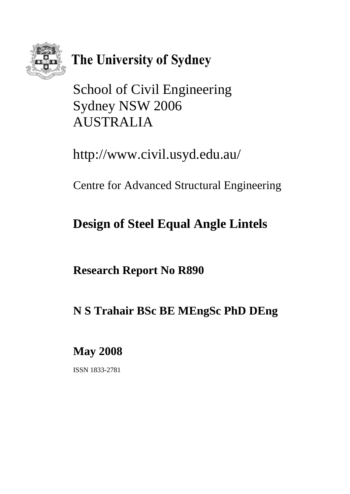

# The University of Sydney

School of Civil Engineering Sydney NSW 2006 AUSTRALIA

http://www.civil.usyd.edu.au/

Centre for Advanced Structural Engineering

# **Design of Steel Equal Angle Lintels**

**Research Report No R890** 

# **N S Trahair BSc BE MEngSc PhD DEng**

**May 2008** 

ISSN 1833-2781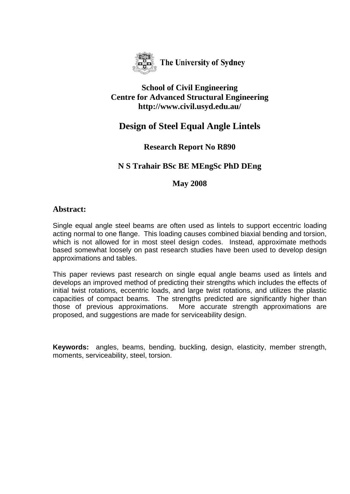

The University of Sydney

## **School of Civil Engineering Centre for Advanced Structural Engineering http://www.civil.usyd.edu.au/**

# **Design of Steel Equal Angle Lintels**

# **Research Report No R890**

# **N S Trahair BSc BE MEngSc PhD DEng**

## **May 2008**

## **Abstract:**

Single equal angle steel beams are often used as lintels to support eccentric loading acting normal to one flange. This loading causes combined biaxial bending and torsion, which is not allowed for in most steel design codes. Instead, approximate methods based somewhat loosely on past research studies have been used to develop design approximations and tables.

This paper reviews past research on single equal angle beams used as lintels and develops an improved method of predicting their strengths which includes the effects of initial twist rotations, eccentric loads, and large twist rotations, and utilizes the plastic capacities of compact beams. The strengths predicted are significantly higher than those of previous approximations. More accurate strength approximations are proposed, and suggestions are made for serviceability design.

**Keywords:** angles, beams, bending, buckling, design, elasticity, member strength, moments, serviceability, steel, torsion.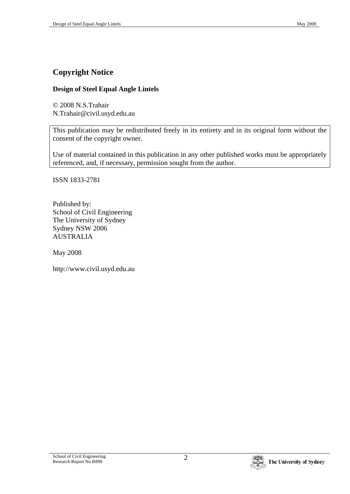# **Copyright Notice**

#### **Design of Steel Equal Angle Lintels**

© 2008 N.S.Trahair N.Trahair@civil.usyd.edu.au

This publication may be redistributed freely in its entirety and in its original form without the consent of the copyright owner.

Use of material contained in this publication in any other published works must be appropriately referenced, and, if necessary, permission sought from the author.

ISSN 1833-2781

Published by: School of Civil Engineering The University of Sydney Sydney NSW 2006 AUSTRALIA

May 2008

http://www.civil.usyd.edu.au

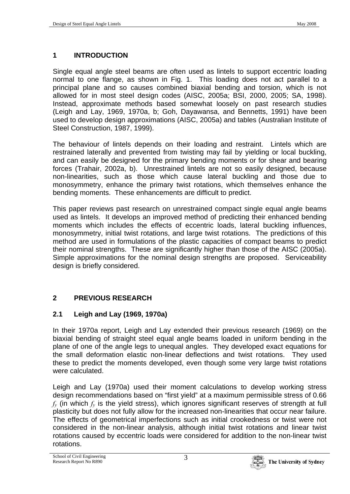## **1 INTRODUCTION**

Single equal angle steel beams are often used as lintels to support eccentric loading normal to one flange, as shown in Fig. 1. This loading does not act parallel to a principal plane and so causes combined biaxial bending and torsion, which is not allowed for in most steel design codes (AISC, 2005a; BSI, 2000, 2005; SA, 1998). Instead, approximate methods based somewhat loosely on past research studies (Leigh and Lay, 1969, 1970a, b; Goh, Dayawansa, and Bennetts, 1991) have been used to develop design approximations (AISC, 2005a) and tables (Australian Institute of Steel Construction, 1987, 1999).

The behaviour of lintels depends on their loading and restraint. Lintels which are restrained laterally and prevented from twisting may fail by yielding or local buckling, and can easily be designed for the primary bending moments or for shear and bearing forces (Trahair, 2002a, b). Unrestrained lintels are not so easily designed, because non-linearities, such as those which cause lateral buckling and those due to monosymmetry, enhance the primary twist rotations, which themselves enhance the bending moments. These enhancements are difficult to predict.

This paper reviews past research on unrestrained compact single equal angle beams used as lintels. It develops an improved method of predicting their enhanced bending moments which includes the effects of eccentric loads, lateral buckling influences, monosymmetry, initial twist rotations, and large twist rotations. The predictions of this method are used in formulations of the plastic capacities of compact beams to predict their nominal strengths. These are significantly higher than those of the AISC (2005a). Simple approximations for the nominal design strengths are proposed. Serviceability design is briefly considered.

# **2 PREVIOUS RESEARCH**

## **2.1 Leigh and Lay (1969, 1970a)**

In their 1970a report, Leigh and Lay extended their previous research (1969) on the biaxial bending of straight steel equal angle beams loaded in uniform bending in the plane of one of the angle legs to unequal angles. They developed exact equations for the small deformation elastic non-linear deflections and twist rotations. They used these to predict the moments developed, even though some very large twist rotations were calculated.

Leigh and Lay (1970a) used their moment calculations to develop working stress design recommendations based on "first yield" at a maximum permissible stress of 0.66  $f<sub>v</sub>$  (in which  $f<sub>v</sub>$  is the yield stress), which ignores significant reserves of strength at full plasticity but does not fully allow for the increased non-linearities that occur near failure. The effects of geometrical imperfections such as initial crookedness or twist were not considered in the non-linear analysis, although initial twist rotations and linear twist rotations caused by eccentric loads were considered for addition to the non-linear twist rotations.

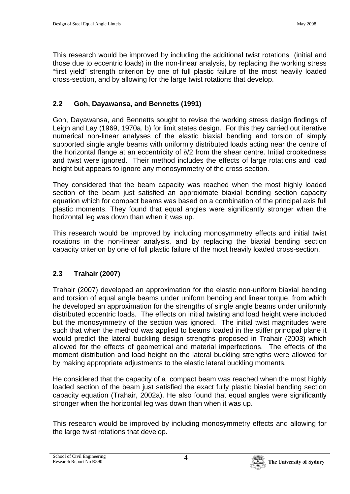This research would be improved by including the additional twist rotations (initial and those due to eccentric loads) in the non-linear analysis, by replacing the working stress "first yield" strength criterion by one of full plastic failure of the most heavily loaded cross-section, and by allowing for the large twist rotations that develop.

## **2.2 Goh, Dayawansa, and Bennetts (1991)**

Goh, Dayawansa, and Bennetts sought to revise the working stress design findings of Leigh and Lay (1969, 1970a, b) for limit states design. For this they carried out iterative numerical non-linear analyses of the elastic biaxial bending and torsion of simply supported single angle beams with uniformly distributed loads acting near the centre of the horizontal flange at an eccentricity of *b*/2 from the shear centre. Initial crookedness and twist were ignored. Their method includes the effects of large rotations and load height but appears to ignore any monosymmetry of the cross-section.

They considered that the beam capacity was reached when the most highly loaded section of the beam just satisfied an approximate biaxial bending section capacity equation which for compact beams was based on a combination of the principal axis full plastic moments. They found that equal angles were significantly stronger when the horizontal leg was down than when it was up.

This research would be improved by including monosymmetry effects and initial twist rotations in the non-linear analysis, and by replacing the biaxial bending section capacity criterion by one of full plastic failure of the most heavily loaded cross-section.

## **2.3 Trahair (2007)**

Trahair (2007) developed an approximation for the elastic non-uniform biaxial bending and torsion of equal angle beams under uniform bending and linear torque, from which he developed an approximation for the strengths of single angle beams under uniformly distributed eccentric loads. The effects on initial twisting and load height were included but the monosymmetry of the section was ignored. The initial twist magnitudes were such that when the method was applied to beams loaded in the stiffer principal plane it would predict the lateral buckling design strengths proposed in Trahair (2003) which allowed for the effects of geometrical and material imperfections. The effects of the moment distribution and load height on the lateral buckling strengths were allowed for by making appropriate adjustments to the elastic lateral buckling moments.

He considered that the capacity of a compact beam was reached when the most highly loaded section of the beam just satisfied the exact fully plastic biaxial bending section capacity equation (Trahair, 2002a). He also found that equal angles were significantly stronger when the horizontal leg was down than when it was up.

This research would be improved by including monosymmetry effects and allowing for the large twist rotations that develop.

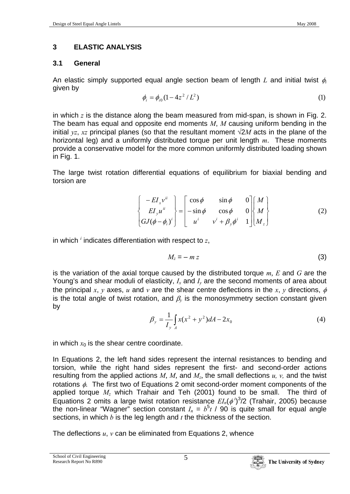## **3 ELASTIC ANALYSIS**

## **3.1 General**

An elastic simply supported equal angle section beam of length *L* and initial twist φ*<sup>i</sup>* given by

$$
\phi_i = \phi_{i0} (1 - 4z^2 / L^2) \tag{1}
$$

in which *z* is the distance along the beam measured from mid-span, is shown in Fig. 2. The beam has equal and opposite end moments *M*, *M* causing uniform bending in the initial *yz*, *xz* principal planes (so that the resultant moment √2*M* acts in the plane of the horizontal leg) and a uniformly distributed torque per unit length *m*. These moments provide a conservative model for the more common uniformly distributed loading shown in Fig. 1.

The large twist rotation differential equations of equilibrium for biaxial bending and torsion are

$$
\begin{Bmatrix}\n-EI_x v^u \\
EI_y u^u \\
GJ(\phi - \phi_i)^i\n\end{Bmatrix} = \begin{bmatrix}\n\cos \phi & \sin \phi & 0 \\
-\sin \phi & \cos \phi & 0 \\
u^i & v^i + \beta_y \phi^i & 1\n\end{bmatrix} \begin{bmatrix} M \\ M \\ M_z \end{bmatrix}
$$
\n(2)

in which  $<sup>i</sup>$  indicates differentiation with respect to  $z$ ,</sup>

$$
M_z = - m z \tag{3}
$$

is the variation of the axial torque caused by the distributed torque *m*, *E* and *G* are the Young's and shear moduli of elasticity, *Ix* and *Iy* are the second moments of area about the principal *x*, *y* axes, *u* and *y* are the shear centre deflections in the *x*, *y* directions,  $\phi$ is the total angle of twist rotation, and  $\beta_{\nu}$  is the monosymmetry section constant given by

$$
\beta_y = \frac{1}{I_y} \int_A x(x^2 + y^2) dA - 2x_0 \tag{4}
$$

in which  $x_0$  is the shear centre coordinate.

In Equations 2, the left hand sides represent the internal resistances to bending and torsion, while the right hand sides represent the first- and second-order actions resulting from the applied actions  $M$ ,  $M$ , and  $M$ <sub>z</sub>, the small deflections  $u$ ,  $v$ , and the twist rotations  $\phi$ . The first two of Equations 2 omit second-order moment components of the applied torque *Mz* which Trahair and Teh (2001) found to be small. The third of Equations 2 omits a large twist rotation resistance  $EI_n(\phi^i)^3/2$  (Trahair, 2005) because the non-linear "Wagner" section constant  $I_n = b^5t/90$  is quite small for equal angle sections, in which *b* is the leg length and *t* the thickness of the section.

The deflections *u*, *v* can be eliminated from Equations 2, whence

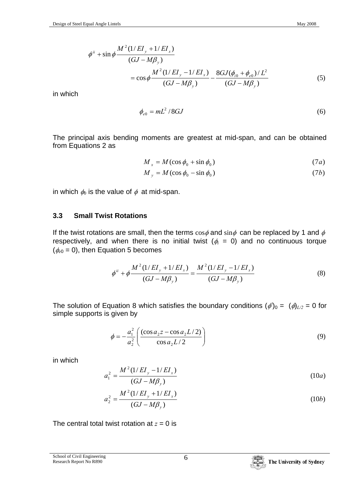$$
\phi^{ii} + \sin \phi \frac{M^2 (1/EI_y + 1/EI_x)}{(GJ - M\beta_y)} \n= \cos \phi \frac{M^2 (1/EI_y - 1/EI_x)}{(GJ - M\beta_y)} - \frac{8GJ(\phi_{i0} + \phi_{e0})/L^2}{(GJ - M\beta_y)}
$$
\n(5)

in which

$$
\phi_{e0} = mL^2 / 8GJ \tag{6}
$$

The principal axis bending moments are greatest at mid-span, and can be obtained from Equations 2 as

$$
M_x = M(\cos\phi_0 + \sin\phi_0) \tag{7a}
$$

$$
M_y = M(\cos\phi_0 - \sin\phi_0) \tag{7b}
$$

in which  $\phi_0$  is the value of  $\phi$  at mid-span.

#### **3.3 Small Twist Rotations**

If the twist rotations are small, then the terms  $\cos \phi$  and  $\sin \phi$  can be replaced by 1 and  $\phi$ respectively, and when there is no initial twist  $(\phi_i = 0)$  and no continuous torque  $(\phi_{e0} = 0)$ , then Equation 5 becomes

$$
\phi^{ii} + \phi \frac{M^2 (1/EI_y + 1/EI_x)}{(GJ - M\beta_y)} = \frac{M^2 (1/EI_y - 1/EI_x)}{(GJ - M\beta_y)}
$$
(8)

The solution of Equation 8 which satisfies the boundary conditions  $(\phi')_0 = (\phi)_{L/2} = 0$  for simple supports is given by

$$
\phi = -\frac{a_1^2}{a_2^2} \left( \frac{(\cos a_2 z - \cos a_2 L/2)}{\cos a_2 L/2} \right)
$$
(9)

in which

$$
a_1^2 = \frac{M^2 (1/EI_y - 1/EI_x)}{(GJ - M\beta_y)}
$$
(10*a*)

$$
a_2^2 = \frac{M^2 (1/EI_y + 1/EI_x)}{(GJ - M\beta_y)}
$$
(10b)

The central total twist rotation at  $z = 0$  is



School of Civil Engineering School of Civil Engineering<br>Research Report No R890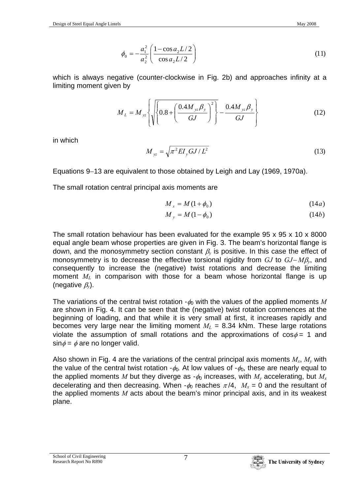$$
\phi_0 = -\frac{a_1^2}{a_2^2} \left( \frac{1 - \cos a_2 L/2}{\cos a_2 L/2} \right) \tag{11}
$$

which is always negative (counter-clockwise in Fig. 2b) and approaches infinity at a limiting moment given by

$$
M_{L} = M_{yz} \left\{ \sqrt{\left\{ 0.8 + \left( \frac{0.4 M_{yz} \beta_{y}}{GJ} \right)^{2} \right\} - \frac{0.4 M_{yz} \beta_{y}}{GJ} \right\}}
$$
(12)

in which

$$
M_{yz} = \sqrt{\pi^2 EI_y GJ/L^2}
$$
 (13)

Equations 9−13 are equivalent to those obtained by Leigh and Lay (1969, 1970a).

The small rotation central principal axis moments are

$$
M_x = M(1 + \phi_0) \tag{14a}
$$

$$
M_y = M(1 - \phi_0) \tag{14b}
$$

The small rotation behaviour has been evaluated for the example 95 x 95 x 10 x 8000 equal angle beam whose properties are given in Fig. 3. The beam's horizontal flange is down, and the monosymmetry section constant  $\beta_{\nu}$  is positive. In this case the effect of monosymmetry is to decrease the effective torsional rigidity from *GJ* to *GJ*− *M*β*y*, and consequently to increase the (negative) twist rotations and decrease the limiting moment  $M_L$  in comparison with those for a beam whose horizontal flange is up (negative β*y*).

The variations of the central twist rotation  $-\phi_0$  with the values of the applied moments M are shown in Fig. 4. It can be seen that the (negative) twist rotation commences at the beginning of loading, and that while it is very small at first, it increases rapidly and becomes very large near the limiting moment  $M_L$  = 8.34 kNm. These large rotations violate the assumption of small rotations and the approximations of  $cos\phi = 1$  and  $\sin \phi = \phi$  are no longer valid.

Also shown in Fig. 4 are the variations of the central principal axis moments *Mx*, *My* with the value of the central twist rotation  $-\phi_0$ . At low values of  $-\phi_0$ , these are nearly equal to the applied moments *M* but they diverge as  $-\phi_0$  increases, with  $M_v$  accelerating, but  $M_x$ decelerating and then decreasing. When  $-\phi_0$  reaches  $\pi/4$ ,  $M_x = 0$  and the resultant of the applied moments *M* acts about the beam's minor principal axis, and in its weakest plane.

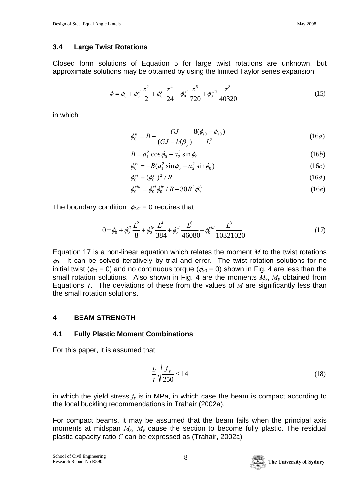## **3.4 Large Twist Rotations**

Closed form solutions of Equation 5 for large twist rotations are unknown, but approximate solutions may be obtained by using the limited Taylor series expansion

$$
\phi = \phi_0 + \phi_0^{ii} \frac{z^2}{2} + \phi_0^{iv} \frac{z^4}{24} + \phi_0^{vi} \frac{z^6}{720} + \phi_0^{viii} \frac{z^8}{40320}
$$
(15)

in which

$$
\phi_0^{ii} = B - \frac{GJ}{(GJ - M\beta_y)} \frac{8(\phi_{i0} - \phi_{e0})}{L^2}
$$
 (16*a*)

$$
B = a_1^2 \cos \phi_0 - a_2^2 \sin \phi_0 \tag{16b}
$$

$$
\phi_0^{iv} = -B(a_1^2 \sin \phi_0 + a_2^2 \sin \phi_0)
$$
 (16c)

$$
\phi_0^{\nu i} = (\phi_0^{\nu i})^2 / B \tag{16d}
$$

$$
\phi_0^{\text{viii}} = \phi_0^{\text{vi}} \phi_0^{\text{iv}} / B - 30B^2 \phi_0^{\text{iv}}
$$
 (16e)

The boundary condition  $\phi_{L/2} = 0$  requires that

$$
0 = \phi_0 + \phi_0^{ii} \frac{L^2}{8} + \phi_0^{iv} \frac{L^4}{384} + \phi_0^{vi} \frac{L^6}{46080} + \phi_0^{viii} \frac{L^8}{10321020}
$$
 (17)

Equation 17 is a non-linear equation which relates the moment *M* to the twist rotations  $\phi_0$ . It can be solved iteratively by trial and error. The twist rotation solutions for no initial twist ( $\phi_{i0} = 0$ ) and no continuous torque ( $\phi_{e0} = 0$ ) shown in Fig. 4 are less than the small rotation solutions. Also shown in Fig. 4 are the moments  $M_x$ ,  $M_y$  obtained from Equations 7. The deviations of these from the values of *M* are significantly less than the small rotation solutions.

# **4 BEAM STRENGTH**

## **4.1 Fully Plastic Moment Combinations**

For this paper, it is assumed that

$$
\frac{b}{t}\sqrt{\frac{f_y}{250}} \le 14\tag{18}
$$

in which the yield stress  $f<sub>v</sub>$  is in MPa, in which case the beam is compact according to the local buckling recommendations in Trahair (2002a).

For compact beams, it may be assumed that the beam fails when the principal axis moments at midspan *Mx*, *My* cause the section to become fully plastic. The residual plastic capacity ratio *C* can be expressed as (Trahair, 2002a)

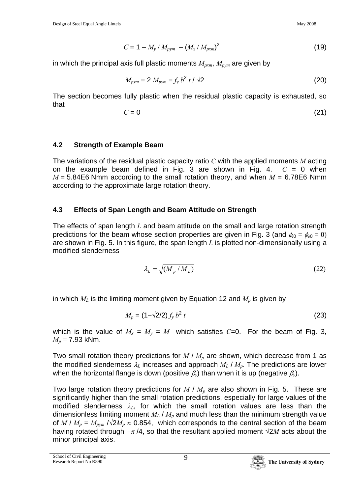$$
C = 1 - M_{y} / M_{pym} - (M_{x} / M_{pxm})^{2}
$$
 (19)

in which the principal axis full plastic moments *Mpxm*, *Mpym* are given by

$$
M_{pxm} = 2 M_{pym} = f_y b^2 t / \sqrt{2}
$$
 (20)

The section becomes fully plastic when the residual plastic capacity is exhausted, so that

$$
C = 0 \tag{21}
$$

## **4.2 Strength of Example Beam**

The variations of the residual plastic capacity ratio *C* with the applied moments *M* acting on the example beam defined in Fig. 3 are shown in Fig. 4.  $C = 0$  when  $M = 5.84E6$  Nmm according to the small rotation theory, and when  $M = 6.78E6$  Nmm according to the approximate large rotation theory.

## **4.3 Effects of Span Length and Beam Attitude on Strength**

The effects of span length *L* and beam attitude on the small and large rotation strength predictions for the beam whose section properties are given in Fig. 3 (and  $\phi_0 = \phi_{e0} = 0$ ) are shown in Fig. 5. In this figure, the span length *L* is plotted non-dimensionally using a modified slenderness

$$
\lambda_L = \sqrt{\left(M_p / M_L\right)}\tag{22}
$$

in which  $M_L$  is the limiting moment given by Equation 12 and  $M_p$  is given by

$$
M_p = (1 - \sqrt{2}/2) f_y b^2 t \tag{23}
$$

which is the value of  $M_x = M_y = M$  which satisfies  $C=0$ . For the beam of Fig. 3, *Mp =* 7.93 kNm.

Two small rotation theory predictions for *M | M<sub>p</sub>* are shown, which decrease from 1 as the modified slenderness  $\lambda_L$  increases and approach  $M_L / M_p$ . The predictions are lower when the horizontal flange is down (positive  $\beta$ <sup>*i*</sup>) than when it is up (negative  $\beta$ <sup>*i*</sup>).

Two large rotation theory predictions for *M | M<sub>p</sub>* are also shown in Fig. 5. These are significantly higher than the small rotation predictions, especially for large values of the modified slenderness λ*L*, for which the small rotation values are less than the dimensionless limiting moment  $M_L$  /  $M_p$  and much less than the minimum strength value of  $M / M_p = M_{pvm} / \sqrt{2M_p} \approx 0.854$ , which corresponds to the central section of the beam having rotated through  $-\pi/4$ , so that the resultant applied moment  $\sqrt{2M}$  acts about the minor principal axis.

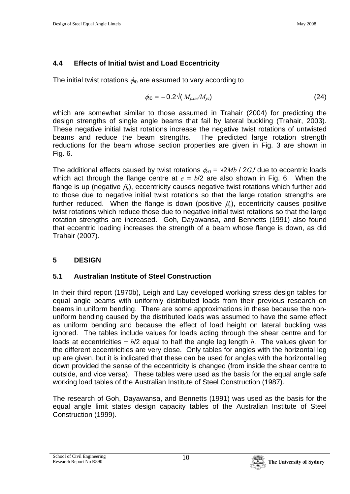# **4.4 Effects of Initial twist and Load Eccentricity**

The initial twist rotations φ*i*0 are assumed to vary according to

$$
\phi_{i0} = -0.2\sqrt{(M_{pxm}/M_{yz})}
$$
\n(24)

which are somewhat similar to those assumed in Trahair (2004) for predicting the design strengths of single angle beams that fail by lateral buckling (Trahair, 2003). These negative initial twist rotations increase the negative twist rotations of untwisted beams and reduce the beam strengths. The predicted large rotation strength reductions for the beam whose section properties are given in Fig. 3 are shown in Fig. 6.

The additional effects caused by twist rotations  $\phi_{e0} = \sqrt{2Mb} / 2GJ$  due to eccentric loads which act through the flange centre at  $e = b/2$  are also shown in Fig. 6. When the flange is up (negative β*y*), eccentricity causes negative twist rotations which further add to those due to negative initial twist rotations so that the large rotation strengths are further reduced. When the flange is down (positive β*y*), eccentricity causes positive twist rotations which reduce those due to negative initial twist rotations so that the large rotation strengths are increased. Goh, Dayawansa, and Bennetts (1991) also found that eccentric loading increases the strength of a beam whose flange is down, as did Trahair (2007).

# **5 DESIGN**

# **5.1 Australian Institute of Steel Construction**

In their third report (1970b), Leigh and Lay developed working stress design tables for equal angle beams with uniformly distributed loads from their previous research on beams in uniform bending. There are some approximations in these because the nonuniform bending caused by the distributed loads was assumed to have the same effect as uniform bending and because the effect of load height on lateral buckling was ignored. The tables include values for loads acting through the shear centre and for loads at eccentricities ± *b*/2 equal to half the angle leg length *b*. The values given for the different eccentricities are very close. Only tables for angles with the horizontal leg up are given, but it is indicated that these can be used for angles with the horizontal leg down provided the sense of the eccentricity is changed (from inside the shear centre to outside, and vice versa). These tables were used as the basis for the equal angle safe working load tables of the Australian Institute of Steel Construction (1987).

The research of Goh, Dayawansa, and Bennetts (1991) was used as the basis for the equal angle limit states design capacity tables of the Australian Institute of Steel Construction (1999).

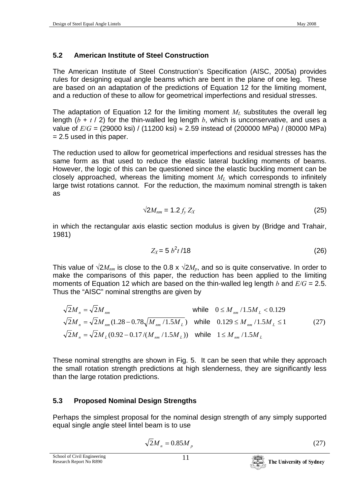# **5.2 American Institute of Steel Construction**

The American Institute of Steel Construction's Specification (AISC, 2005a) provides rules for designing equal angle beams which are bent in the plane of one leg. These are based on an adaptation of the predictions of Equation 12 for the limiting moment, and a reduction of these to allow for geometrical imperfections and residual stresses.

The adaptation of Equation 12 for the limiting moment  $M_L$  substitutes the overall leg length  $(b + t / 2)$  for the thin-walled leg length *b*, which is unconservative, and uses a value of  $E/G = (29000 \text{ ks}) / (11200 \text{ ks}) \approx 2.59 \text{ instead of } (200000 \text{ MPa}) / (80000 \text{ MPa})$  $= 2.5$  used in this paper.

The reduction used to allow for geometrical imperfections and residual stresses has the same form as that used to reduce the elastic lateral buckling moments of beams. However, the logic of this can be questioned since the elastic buckling moment can be closely approached, whereas the limiting moment  $M<sub>L</sub>$  which corresponds to infinitely large twist rotations cannot. For the reduction, the maximum nominal strength is taken as

$$
\sqrt{2M_{nm}} = 1.2 f_y Z_X \tag{25}
$$

in which the rectangular axis elastic section modulus is given by (Bridge and Trahair, 1981)

$$
Z_X = 5 b^2 t / 18 \tag{26}
$$

This value of  $\sqrt{2}M_{nm}$  is close to the 0.8 x  $\sqrt{2}M_p$ , and so is quite conservative. In order to make the comparisons of this paper, the reduction has been applied to the limiting moments of Equation 12 which are based on the thin-walled leg length *b* and *E/G* = 2.5. Thus the "AISC" nominal strengths are given by

$$
\sqrt{2}M_{n} = \sqrt{2}M_{nm}
$$
\nwhile  $0 \le M_{nm}/1.5M_{L} < 0.129$   
\n
$$
\sqrt{2}M_{n} = \sqrt{2}M_{nm}(1.28 - 0.78\sqrt{M_{nm}/1.5M_{L}})
$$
\nwhile  $0.129 \le M_{nm}/1.5M_{L} \le 1$   
\n
$$
\sqrt{2}M_{n} = \sqrt{2}M_{L}(0.92 - 0.17/(M_{nm}/1.5M_{L}))
$$
\nwhile  $1 \le M_{nm}/1.5M_{L}$  (27)

These nominal strengths are shown in Fig. 5. It can be seen that while they approach the small rotation strength predictions at high slenderness, they are significantly less than the large rotation predictions.

## **5.3 Proposed Nominal Design Strengths**

Perhaps the simplest proposal for the nominal design strength of any simply supported equal single angle steel lintel beam is to use

$$
\sqrt{2}M_n = 0.85M_p \tag{27}
$$

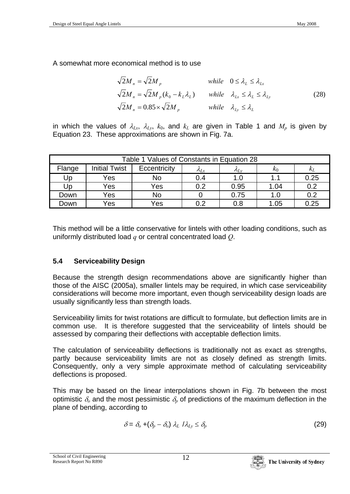A somewhat more economical method is to use

$$
\sqrt{2}M_n = \sqrt{2}M_p \quad \text{while} \quad 0 \le \lambda_L \le \lambda_{Lx}
$$
  

$$
\sqrt{2}M_n = \sqrt{2}M_p(k_0 - k_L\lambda_L) \quad \text{while} \quad \lambda_{Lx} \le \lambda_L \le \lambda_{Ly}
$$
  

$$
\sqrt{2}M_n = 0.85 \times \sqrt{2}M_p \quad \text{while} \quad \lambda_{Ly} \le \lambda_L
$$
 (28)

in which the values of  $\lambda_{Lx}$ ,  $\lambda_{Ly}$ ,  $k_0$ , and  $k_L$  are given in Table 1 and  $M_p$  is given by Equation 23. These approximations are shown in Fig. 7a.

| Table 1 Values of Constants in Equation 28 |                      |              |                          |                |       |            |  |
|--------------------------------------------|----------------------|--------------|--------------------------|----------------|-------|------------|--|
| Flange                                     | <b>Initial Twist</b> | Eccentricity | $\mathcal{\Lambda}_{Lx}$ | $\Lambda_{Lv}$ | $k_0$ | $\kappa_L$ |  |
| Up                                         | Yes                  | No           | 0.4                      | 1.0            | 1.1   | 0.25       |  |
| Up                                         | Yes                  | Yes          | 0.2                      | 0.95           | 1.04  | 0.2        |  |
| Down                                       | Yes                  | No           |                          | 0.75           | 1.0   | 0.2        |  |
| Down                                       | Yes                  | Yes          | 0.2                      | 0.8            | 1.05  | 0.25       |  |

This method will be a little conservative for lintels with other loading conditions, such as uniformly distributed load *q* or central concentrated load *Q*.

# **5.4 Serviceability Design**

Because the strength design recommendations above are significantly higher than those of the AISC (2005a), smaller lintels may be required, in which case serviceability considerations will become more important, even though serviceability design loads are usually significantly less than strength loads.

Serviceability limits for twist rotations are difficult to formulate, but deflection limits are in common use. It is therefore suggested that the serviceability of lintels should be assessed by comparing their deflections with acceptable deflection limits.

The calculation of serviceability deflections is traditionally not as exact as strengths, partly because serviceability limits are not as closely defined as strength limits. Consequently, only a very simple approximate method of calculating serviceability deflections is proposed.

This may be based on the linear interpolations shown in Fig. 7b between the most optimistic  $\delta$ <sub>o</sub> and the most pessimistic  $\delta$ <sub>p</sub> of predictions of the maximum deflection in the plane of bending, according to

$$
\delta = \delta_o + (\delta_p - \delta_o) \lambda_L / \lambda_{Ly} \le \delta_p \tag{29}
$$

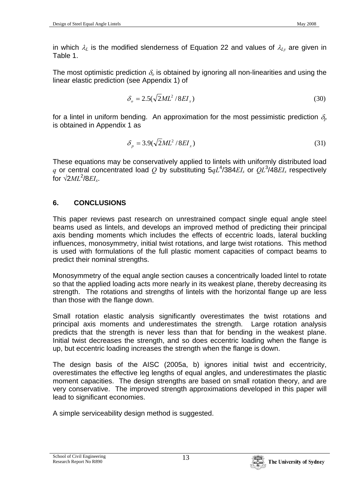in which  $\lambda_L$  is the modified slenderness of Equation 22 and values of  $\lambda_{Ly}$  are given in Table 1.

The most optimistic prediction  $\delta$  is obtained by ignoring all non-linearities and using the linear elastic prediction (see Appendix 1) of

$$
\delta_o = 2.5(\sqrt{2}ML^2/8EI_x) \tag{30}
$$

for a lintel in uniform bending. An approximation for the most pessimistic prediction  $\delta_p$ is obtained in Appendix 1 as

$$
\delta_p = 3.9(\sqrt{2}ML^2/8EI_x) \tag{31}
$$

These equations may be conservatively applied to lintels with uniformly distributed load q or central concentrated load Q by substituting  $5qL^4/384EI_x$  or  $QL^3/48EI_x$  respectively for  $\sqrt{2ML^2/8EI_x}$ .

## **6. CONCLUSIONS**

This paper reviews past research on unrestrained compact single equal angle steel beams used as lintels, and develops an improved method of predicting their principal axis bending moments which includes the effects of eccentric loads, lateral buckling influences, monosymmetry, initial twist rotations, and large twist rotations. This method is used with formulations of the full plastic moment capacities of compact beams to predict their nominal strengths.

Monosymmetry of the equal angle section causes a concentrically loaded lintel to rotate so that the applied loading acts more nearly in its weakest plane, thereby decreasing its strength. The rotations and strengths of lintels with the horizontal flange up are less than those with the flange down.

Small rotation elastic analysis significantly overestimates the twist rotations and principal axis moments and underestimates the strength. Large rotation analysis predicts that the strength is never less than that for bending in the weakest plane. Initial twist decreases the strength, and so does eccentric loading when the flange is up, but eccentric loading increases the strength when the flange is down.

The design basis of the AISC (2005a, b) ignores initial twist and eccentricity, overestimates the effective leg lengths of equal angles, and underestimates the plastic moment capacities. The design strengths are based on small rotation theory, and are very conservative. The improved strength approximations developed in this paper will lead to significant economies.

A simple serviceability design method is suggested.

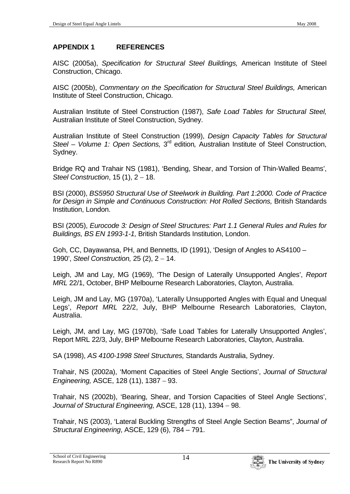## **APPENDIX 1 REFERENCES**

AISC (2005a), *Specification for Structural Steel Buildings,* American Institute of Steel Construction, Chicago.

AISC (2005b), *Commentary on the Specification for Structural Steel Buildings,* American Institute of Steel Construction, Chicago.

Australian Institute of Steel Construction (1987), *Safe Load Tables for Structural Steel,*  Australian Institute of Steel Construction, Sydney.

Australian Institute of Steel Construction (1999), *Design Capacity Tables for Structural Steel – Volume 1: Open Sections,* 3rd edition*,* Australian Institute of Steel Construction, Sydney.

Bridge RQ and Trahair NS (1981), 'Bending, Shear, and Torsion of Thin-Walled Beams', *Steel Construction*, 15 (1), 2 − 18.

BSI (2000), *BS5950 Structural Use of Steelwork in Building. Part 1:2000. Code of Practice*  for Design in Simple and Continuous Construction: Hot Rolled Sections, British Standards Institution, London.

BSI (2005), *Eurocode 3: Design of Steel Structures: Part 1.1 General Rules and Rules for Buildings, BS EN 1993-1-1,* British Standards Institution, London.

Goh, CC, Dayawansa, PH, and Bennetts, ID (1991), 'Design of Angles to AS4100 – 1990', *Steel Construction,* 25 (2), 2 − 14.

Leigh, JM and Lay, MG (1969), 'The Design of Laterally Unsupported Angles', *Report MRL* 22/1, October, BHP Melbourne Research Laboratories, Clayton, Australia.

Leigh, JM and Lay, MG (1970a), 'Laterally Unsupported Angles with Equal and Unequal Legs', *Report MRL* 22/2, July, BHP Melbourne Research Laboratories, Clayton, Australia.

Leigh, JM, and Lay, MG (1970b), 'Safe Load Tables for Laterally Unsupported Angles', Report MRL 22/3, July, BHP Melbourne Research Laboratories, Clayton, Australia.

SA (1998), *AS 4100-1998 Steel Structures,* Standards Australia, Sydney.

Trahair, NS (2002a), 'Moment Capacities of Steel Angle Sections', *Journal of Structural Engineering,* ASCE, 128 (11), 1387 − 93.

Trahair, NS (2002b), 'Bearing, Shear, and Torsion Capacities of Steel Angle Sections', *Journal of Structural Engineering,* ASCE, 128 (11), 1394 − 98.

Trahair, NS (2003), 'Lateral Buckling Strengths of Steel Angle Section Beams", *Journal of Structural Engineering*, ASCE, 129 (6), 784 – 791.

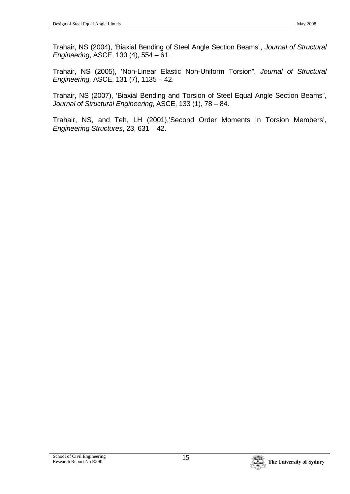Trahair, NS (2004), 'Biaxial Bending of Steel Angle Section Beams", *Journal of Structural Engineering*, ASCE, 130 (4), 554 – 61.

Trahair, NS (2005), 'Non-Linear Elastic Non-Uniform Torsion", *Journal of Structural Engineering,* ASCE, 131 (7), 1135 – 42.

Trahair, NS (2007), 'Biaxial Bending and Torsion of Steel Equal Angle Section Beams", *Journal of Structural Engineering*, ASCE, 133 (1), 78 – 84.

Trahair, NS, and Teh, LH (2001),'Second Order Moments In Torsion Members', *Engineering Structures*, 23, 631 − 42.

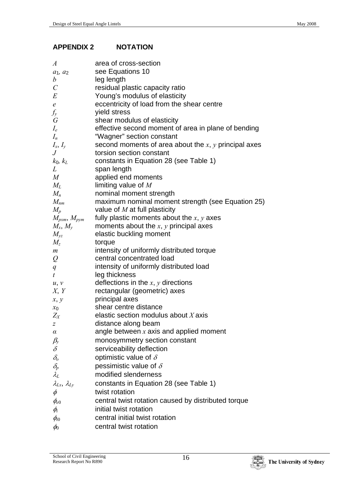### **APPENDIX 2 NOTATION**

| A                                   | area of cross-section                                                                     |
|-------------------------------------|-------------------------------------------------------------------------------------------|
| $a_1, a_2$                          | see Equations 10                                                                          |
| $\boldsymbol{b}$                    | leg length                                                                                |
| $\mathcal{C}_{0}^{0}$               | residual plastic capacity ratio                                                           |
| E                                   | Young's modulus of elasticity                                                             |
| e                                   | eccentricity of load from the shear centre                                                |
| $f_{y}$                             | yield stress                                                                              |
| G                                   | shear modulus of elasticity                                                               |
| $I_e$                               | effective second moment of area in plane of bending                                       |
| $I_n$                               | "Wagner" section constant                                                                 |
| $I_x, I_y$                          | second moments of area about the $x$ , $y$ principal axes                                 |
| $\,$                                | torsion section constant                                                                  |
| $k_0$ , $k_L$                       | constants in Equation 28 (see Table 1)                                                    |
| L                                   | span length                                                                               |
| $\it{M}$                            | applied end moments                                                                       |
| $M_{L}$                             | limiting value of $M$                                                                     |
| $M_n$                               | nominal moment strength                                                                   |
| $M_{nm}$                            | maximum nominal moment strength (see Equation 25)                                         |
| $M_{\scriptscriptstyle\mathcal{D}}$ | value of $M$ at full plasticity                                                           |
| $M_{pxm},\,M_{pym}$                 | fully plastic moments about the $x, y$ axes<br>moments about the $x$ , $y$ principal axes |
| $M_x$ , $M_y$<br>$M_{\nu z}$        | elastic buckling moment                                                                   |
| $M_{\scriptscriptstyle\mathcal{Z}}$ | torque                                                                                    |
| m                                   | intensity of uniformly distributed torque                                                 |
| $\varrho$                           | central concentrated load                                                                 |
| $q_{\parallel}$                     | intensity of uniformly distributed load                                                   |
| t                                   | leg thickness                                                                             |
| u, v                                | deflections in the $x, y$ directions                                                      |
| X, Y                                | rectangular (geometric) axes                                                              |
| x, y                                | principal axes                                                                            |
| $x_0$                               | shear centre distance                                                                     |
| $Z_X$                               | elastic section modulus about $X$ axis                                                    |
| Z                                   | distance along beam                                                                       |
| $\alpha$                            | angle between $x$ axis and applied moment                                                 |
|                                     | monosymmetry section constant                                                             |
| $\frac{\beta_y}{\delta}$            | serviceability deflection                                                                 |
| $\delta_{\!o} \delta_{\!p}$         | optimistic value of $\delta$                                                              |
|                                     | pessimistic value of $\delta$                                                             |
| $\lambda_L$                         | modified slenderness                                                                      |
| $\lambda_{Lx}$ , $\lambda_{Ly}$     | constants in Equation 28 (see Table 1)                                                    |
| $\phi$                              | twist rotation                                                                            |
| $\phi_{e0}$                         | central twist rotation caused by distributed torque                                       |
| $\phi_i$                            | initial twist rotation                                                                    |
| $\phi_{i0}$                         | central initial twist rotation                                                            |
| $\phi_0$                            | central twist rotation                                                                    |

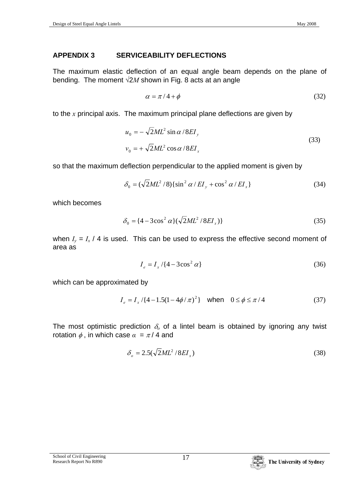# **APPENDIX 3 SERVICEABILITY DEFLECTIONS**

The maximum elastic deflection of an equal angle beam depends on the plane of bending. The moment  $\sqrt{2}M$  shown in Fig. 8 acts at an angle

$$
\alpha = \pi / 4 + \phi \tag{32}
$$

to the *x* principal axis. The maximum principal plane deflections are given by

$$
u_0 = -\sqrt{2}ML^2 \sin \alpha / 8EI_y
$$
  

$$
v_0 = +\sqrt{2}ML^2 \cos \alpha / 8EI_x
$$
 (33)

so that the maximum deflection perpendicular to the applied moment is given by

$$
\delta_0 = (\sqrt{2}ML^2/8)\{\sin^2\alpha/EI_y + \cos^2\alpha/EI_x\}
$$
 (34)

which becomes

$$
\delta_0 = \{4 - 3\cos^2\alpha\}(\sqrt{2}ML^2/8EI_x)\}\
$$
\n(35)

when  $I_v = I_x / 4$  is used. This can be used to express the effective second moment of area as

$$
I_e = I_x / \{4 - 3\cos^2 \alpha\}
$$
 (36)

which can be approximated by

$$
I_e = I_x / \{4 - 1.5(1 - 4\phi/\pi)^2\} \quad \text{when} \quad 0 \le \phi \le \pi/4 \tag{37}
$$

The most optimistic prediction  $\delta$ <sup>o</sup> of a lintel beam is obtained by ignoring any twist rotation  $\phi$ , in which case  $\alpha = \pi/4$  and

$$
\delta_o = 2.5(\sqrt{2}ML^2/8EI_x) \tag{38}
$$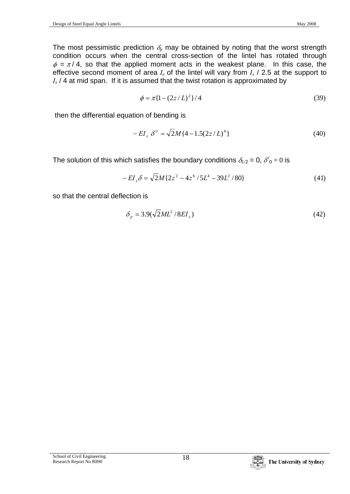The most pessimistic prediction  $\delta_p$  may be obtained by noting that the worst strength condition occurs when the central cross-section of the lintel has rotated through  $\phi = \pi / 4$ , so that the applied moment acts in the weakest plane. In this case, the effective second moment of area *Ie* of the lintel will vary from *Ix* / 2.5 at the support to  $I_x$  / 4 at mid span. If it is assumed that the twist rotation is approximated by

$$
\phi = \pi \{1 - (2z/L)^2\} / 4 \tag{39}
$$

then the differential equation of bending is

$$
-EI_x \delta^{ii} = \sqrt{2}M\{4-1.5(2z/L)^4\}
$$
 (40)

The solution of this which satisfies the boundary conditions  $\delta_{L/2} = 0$ ,  $\delta^i{}_0 = 0$  is

$$
-EI_x \delta = \sqrt{2}M\{2z^2 - 4z^6/5L^4 - 39L^2/80\}
$$
 (41)

so that the central deflection is

$$
\delta_p = 3.9(\sqrt{2}ML^2/8EI_x) \tag{42}
$$

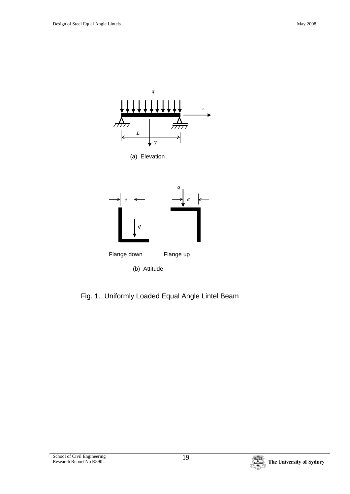

Fig. 1. Uniformly Loaded Equal Angle Lintel Beam

School of Civil Engineering 19<br>
Research Report No R890

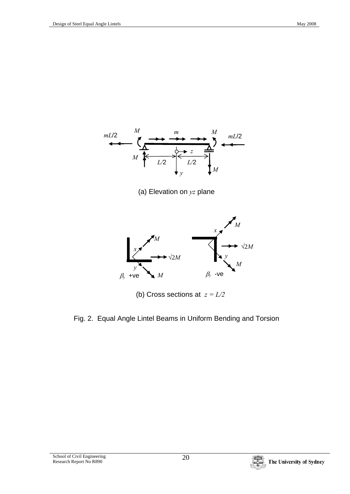

(a) Elevation on *yz* plane



(b) Cross sections at *z = L/2*

Fig. 2. Equal Angle Lintel Beams in Uniform Bending and Torsion

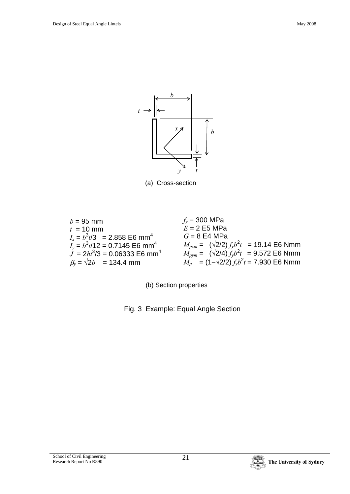

(a) Cross-section



(b) Section properties

Fig. 3 Example: Equal Angle Section

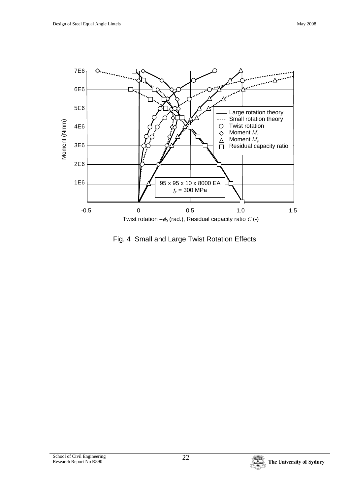

Fig. 4 Small and Large Twist Rotation Effects

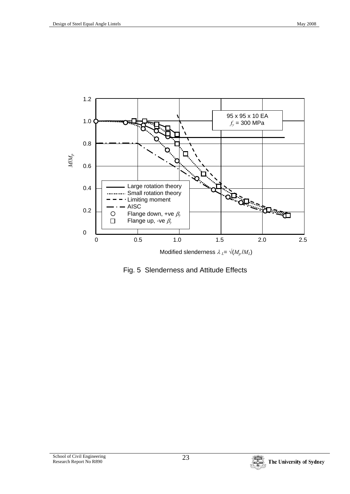

Fig. 5 Slenderness and Attitude Effects

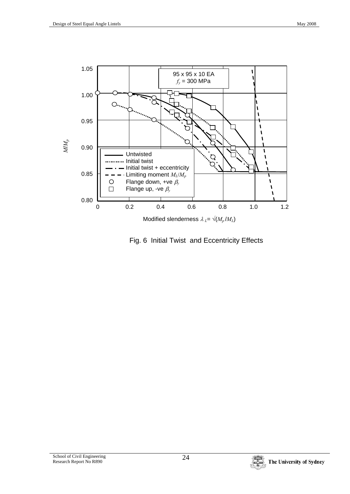

Fig. 6 Initial Twist and Eccentricity Effects

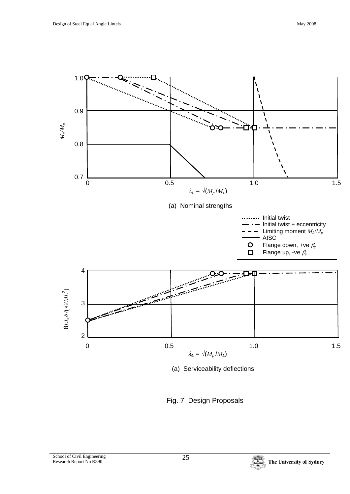

(a) Serviceability deflections

Fig. 7 Design Proposals